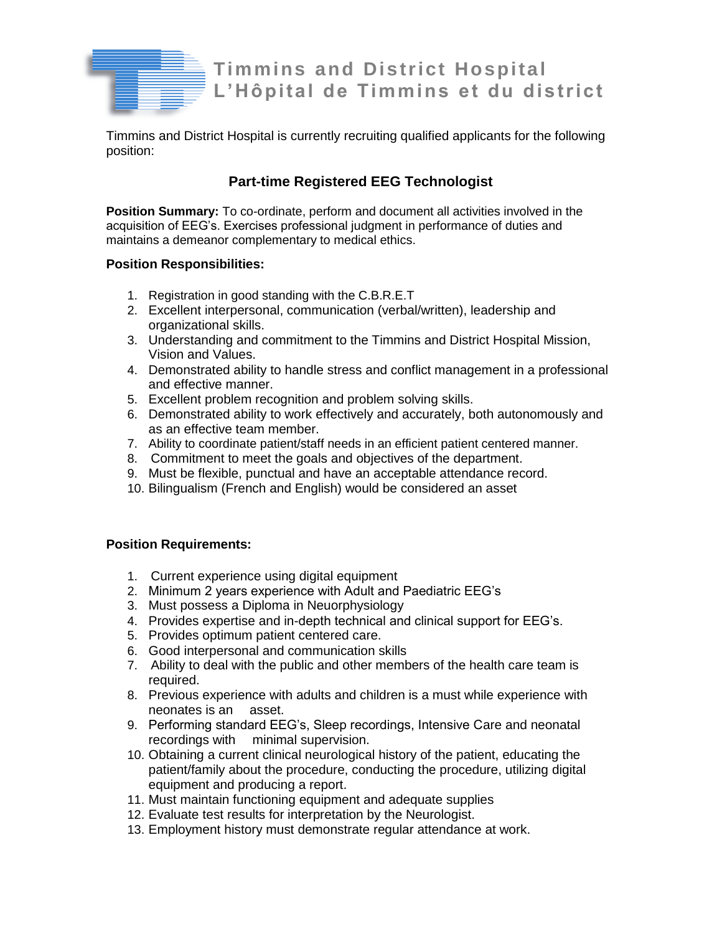

**Timmins and District Hospital L'Hôpital de Timmins et du district**

Timmins and District Hospital is currently recruiting qualified applicants for the following position:

# **Part-time Registered EEG Technologist**

**Position Summary:** To co-ordinate, perform and document all activities involved in the acquisition of EEG's. Exercises professional judgment in performance of duties and maintains a demeanor complementary to medical ethics.

## **Position Responsibilities:**

- 1. Registration in good standing with the C.B.R.E.T
- 2. Excellent interpersonal, communication (verbal/written), leadership and organizational skills.
- 3. Understanding and commitment to the Timmins and District Hospital Mission, Vision and Values.
- 4. Demonstrated ability to handle stress and conflict management in a professional and effective manner.
- 5. Excellent problem recognition and problem solving skills.
- 6. Demonstrated ability to work effectively and accurately, both autonomously and as an effective team member.
- 7. Ability to coordinate patient/staff needs in an efficient patient centered manner.
- 8. Commitment to meet the goals and objectives of the department.
- 9. Must be flexible, punctual and have an acceptable attendance record.
- 10. Bilingualism (French and English) would be considered an asset

## **Position Requirements:**

- 1. Current experience using digital equipment
- 2. Minimum 2 years experience with Adult and Paediatric EEG's
- 3. Must possess a Diploma in Neuorphysiology
- 4. Provides expertise and in-depth technical and clinical support for EEG's.
- 5. Provides optimum patient centered care.
- 6. Good interpersonal and communication skills
- 7. Ability to deal with the public and other members of the health care team is required.
- 8. Previous experience with adults and children is a must while experience with neonates is an asset.
- 9. Performing standard EEG's, Sleep recordings, Intensive Care and neonatal recordings with minimal supervision.
- 10. Obtaining a current clinical neurological history of the patient, educating the patient/family about the procedure, conducting the procedure, utilizing digital equipment and producing a report.
- 11. Must maintain functioning equipment and adequate supplies
- 12. Evaluate test results for interpretation by the Neurologist.
- 13. Employment history must demonstrate regular attendance at work.